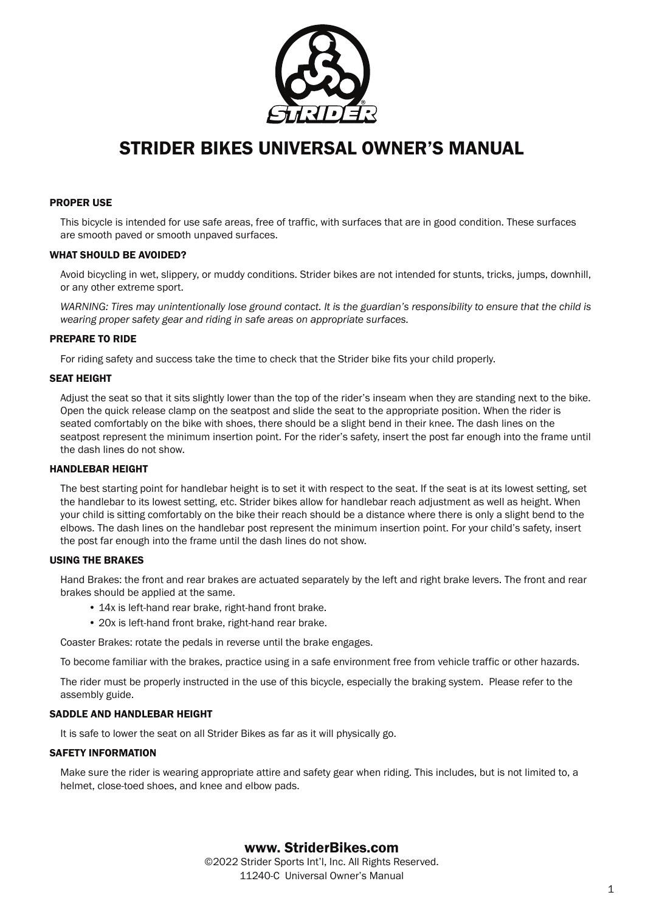

# STRIDER BIKES UNIVERSAL OWNER'S MANUAL

## PROPER USE

This bicycle is intended for use safe areas, free of traffic, with surfaces that are in good condition. These surfaces are smooth paved or smooth unpaved surfaces.

## WHAT SHOULD BE AVOIDED?

Avoid bicycling in wet, slippery, or muddy conditions. Strider bikes are not intended for stunts, tricks, jumps, downhill, or any other extreme sport.

*WARNING: Tires may unintentionally lose ground contact. It is the guardian's responsibility to ensure that the child is wearing proper safety gear and riding in safe areas on appropriate surfaces.*

## PREPARE TO RIDE

For riding safety and success take the time to check that the Strider bike fits your child properly.

## SEAT HEIGHT

Adjust the seat so that it sits slightly lower than the top of the rider's inseam when they are standing next to the bike. Open the quick release clamp on the seatpost and slide the seat to the appropriate position. When the rider is seated comfortably on the bike with shoes, there should be a slight bend in their knee. The dash lines on the seatpost represent the minimum insertion point. For the rider's safety, insert the post far enough into the frame until the dash lines do not show.

# HANDLEBAR HEIGHT

The best starting point for handlebar height is to set it with respect to the seat. If the seat is at its lowest setting, set the handlebar to its lowest setting, etc. Strider bikes allow for handlebar reach adjustment as well as height. When your child is sitting comfortably on the bike their reach should be a distance where there is only a slight bend to the elbows. The dash lines on the handlebar post represent the minimum insertion point. For your child's safety, insert the post far enough into the frame until the dash lines do not show.

# USING THE BRAKES

Hand Brakes: the front and rear brakes are actuated separately by the left and right brake levers. The front and rear brakes should be applied at the same.

- 14x is left-hand rear brake, right-hand front brake.
- 20x is left-hand front brake, right-hand rear brake.

Coaster Brakes: rotate the pedals in reverse until the brake engages.

To become familiar with the brakes, practice using in a safe environment free from vehicle traffic or other hazards.

The rider must be properly instructed in the use of this bicycle, especially the braking system. Please refer to the assembly guide.

#### SADDLE AND HANDLEBAR HEIGHT

It is safe to lower the seat on all Strider Bikes as far as it will physically go.

#### SAFETY INFORMATION

Make sure the rider is wearing appropriate attire and safety gear when riding. This includes, but is not limited to, a helmet, close-toed shoes, and knee and elbow pads.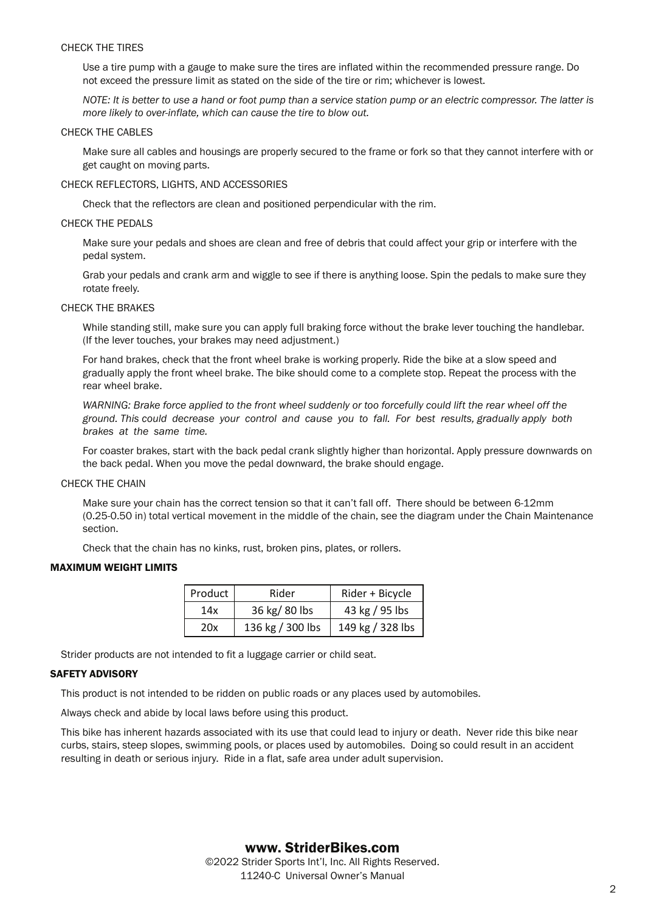#### CHECK THE TIRES

Use a tire pump with a gauge to make sure the tires are inflated within the recommended pressure range. Do not exceed the pressure limit as stated on the side of the tire or rim; whichever is lowest.

*NOTE: It is better to use a hand or foot pump than a service station pump or an electric compressor. The latter is more likely to over-inflate, which can cause the tire to blow out.* 

#### CHECK THE CABLES

Make sure all cables and housings are properly secured to the frame or fork so that they cannot interfere with or get caught on moving parts.

## CHECK REFLECTORS, LIGHTS, AND ACCESSORIES

Check that the reflectors are clean and positioned perpendicular with the rim.

## CHECK THE PEDALS

Make sure your pedals and shoes are clean and free of debris that could affect your grip or interfere with the pedal system.

Grab your pedals and crank arm and wiggle to see if there is anything loose. Spin the pedals to make sure they rotate freely.

## CHECK THE BRAKES

While standing still, make sure you can apply full braking force without the brake lever touching the handlebar. (If the lever touches, your brakes may need adjustment.)

For hand brakes, check that the front wheel brake is working properly. Ride the bike at a slow speed and gradually apply the front wheel brake. The bike should come to a complete stop. Repeat the process with the rear wheel brake.

*WARNING: Brake force applied to the front wheel suddenly or too forcefully could lift the rear wheel off the ground. This could decrease your control and cause you to fall. For best results, gradually apply both brakes at the same time.* 

For coaster brakes, start with the back pedal crank slightly higher than horizontal. Apply pressure downwards on the back pedal. When you move the pedal downward, the brake should engage.

#### CHECK THE CHAIN

Make sure your chain has the correct tension so that it can't fall off. There should be between 6-12mm (0.25-0.50 in) total vertical movement in the middle of the chain, see the diagram under the Chain Maintenance section.

Check that the chain has no kinks, rust, broken pins, plates, or rollers.

# MAXIMUM WEIGHT LIMITS

| Product | Rider            | Rider + Bicycle  |
|---------|------------------|------------------|
| 14x     | 36 kg/ 80 lbs    | 43 kg / 95 lbs   |
| 20x     | 136 kg / 300 lbs | 149 kg / 328 lbs |

Strider products are not intended to fit a luggage carrier or child seat.

# SAFETY ADVISORY

This product is not intended to be ridden on public roads or any places used by automobiles.

Always check and abide by local laws before using this product.

This bike has inherent hazards associated with its use that could lead to injury or death. Never ride this bike near curbs, stairs, steep slopes, swimming pools, or places used by automobiles. Doing so could result in an accident resulting in death or serious injury. Ride in a flat, safe area under adult supervision.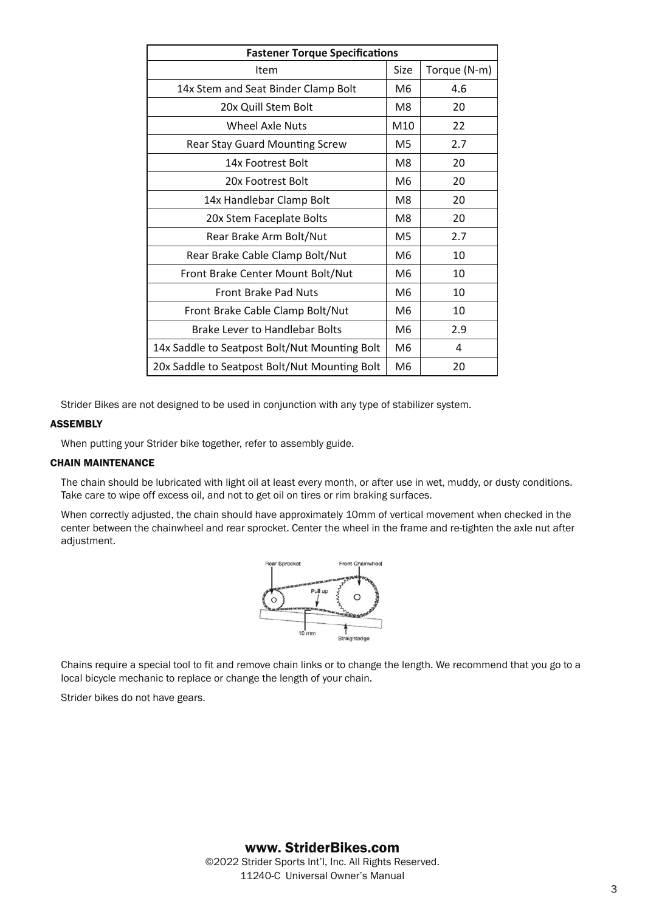| <b>Fastener Torque Specifications</b>         |  |              |  |
|-----------------------------------------------|--|--------------|--|
| Item                                          |  | Torque (N-m) |  |
| 14x Stem and Seat Binder Clamp Bolt           |  | 4.6          |  |
| 20x Quill Stem Bolt                           |  | 20           |  |
| Wheel Axle Nuts                               |  | 22           |  |
| <b>Rear Stay Guard Mounting Screw</b>         |  | 2.7          |  |
| 14x Footrest Bolt                             |  | 20           |  |
| 20x Footrest Bolt                             |  | 20           |  |
| 14x Handlebar Clamp Bolt                      |  | 20           |  |
| 20x Stem Faceplate Bolts                      |  | 20           |  |
| Rear Brake Arm Bolt/Nut                       |  | 2.7          |  |
| Rear Brake Cable Clamp Bolt/Nut               |  | 10           |  |
| Front Brake Center Mount Bolt/Nut             |  | 10           |  |
| <b>Front Brake Pad Nuts</b>                   |  | 10           |  |
| Front Brake Cable Clamp Bolt/Nut              |  | 10           |  |
| <b>Brake Lever to Handlebar Bolts</b>         |  | 2.9          |  |
| 14x Saddle to Seatpost Bolt/Nut Mounting Bolt |  | 4            |  |
| 20x Saddle to Seatpost Bolt/Nut Mounting Bolt |  | 20           |  |

Strider Bikes are not designed to be used in conjunction with any type of stabilizer system.

# ASSEMBLY

When putting your Strider bike together, refer to assembly guide.

# CHAIN MAINTENANCE

The chain should be lubricated with light oil at least every month, or after use in wet, muddy, or dusty conditions. Take care to wipe off excess oil, and not to get oil on tires or rim braking surfaces.

When correctly adjusted, the chain should have approximately 10mm of vertical movement when checked in the center between the chainwheel and rear sprocket. Center the wheel in the frame and re-tighten the axle nut after adjustment.



Chains require a special tool to fit and remove chain links or to change the length. We recommend that you go to a local bicycle mechanic to replace or change the length of your chain.

Strider bikes do not have gears.